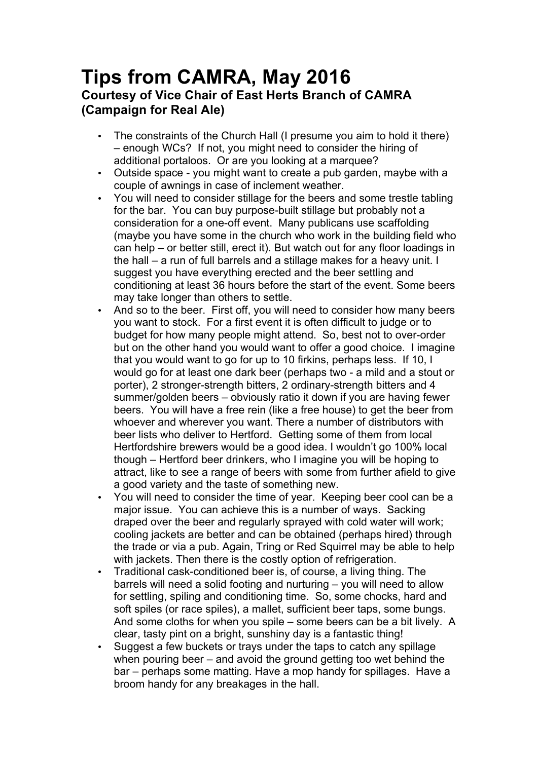## **Tips from CAMRA, May 2016 Courtesy of Vice Chair of East Herts Branch of CAMRA (Campaign for Real Ale)**

- The constraints of the Church Hall (I presume you aim to hold it there) – enough WCs? If not, you might need to consider the hiring of additional portaloos. Or are you looking at a marquee?
- Outside space you might want to create a pub garden, maybe with a couple of awnings in case of inclement weather.
- You will need to consider stillage for the beers and some trestle tabling for the bar. You can buy purpose-built stillage but probably not a consideration for a one-off event. Many publicans use scaffolding (maybe you have some in the church who work in the building field who can help – or better still, erect it). But watch out for any floor loadings in the hall – a run of full barrels and a stillage makes for a heavy unit. I suggest you have everything erected and the beer settling and conditioning at least 36 hours before the start of the event. Some beers may take longer than others to settle.
- And so to the beer. First off, you will need to consider how many beers you want to stock. For a first event it is often difficult to judge or to budget for how many people might attend. So, best not to over-order but on the other hand you would want to offer a good choice. I imagine that you would want to go for up to 10 firkins, perhaps less. If 10, I would go for at least one dark beer (perhaps two - a mild and a stout or porter), 2 stronger-strength bitters, 2 ordinary-strength bitters and 4 summer/golden beers – obviously ratio it down if you are having fewer beers. You will have a free rein (like a free house) to get the beer from whoever and wherever you want. There a number of distributors with beer lists who deliver to Hertford. Getting some of them from local Hertfordshire brewers would be a good idea. I wouldn't go 100% local though – Hertford beer drinkers, who I imagine you will be hoping to attract, like to see a range of beers with some from further afield to give a good variety and the taste of something new.
- You will need to consider the time of year. Keeping beer cool can be a major issue. You can achieve this is a number of ways. Sacking draped over the beer and regularly sprayed with cold water will work; cooling jackets are better and can be obtained (perhaps hired) through the trade or via a pub. Again, Tring or Red Squirrel may be able to help with jackets. Then there is the costly option of refrigeration.
- Traditional cask-conditioned beer is, of course, a living thing. The barrels will need a solid footing and nurturing – you will need to allow for settling, spiling and conditioning time. So, some chocks, hard and soft spiles (or race spiles), a mallet, sufficient beer taps, some bungs. And some cloths for when you spile – some beers can be a bit lively. A clear, tasty pint on a bright, sunshiny day is a fantastic thing!
- Suggest a few buckets or trays under the taps to catch any spillage when pouring beer – and avoid the ground getting too wet behind the bar – perhaps some matting. Have a mop handy for spillages. Have a broom handy for any breakages in the hall.